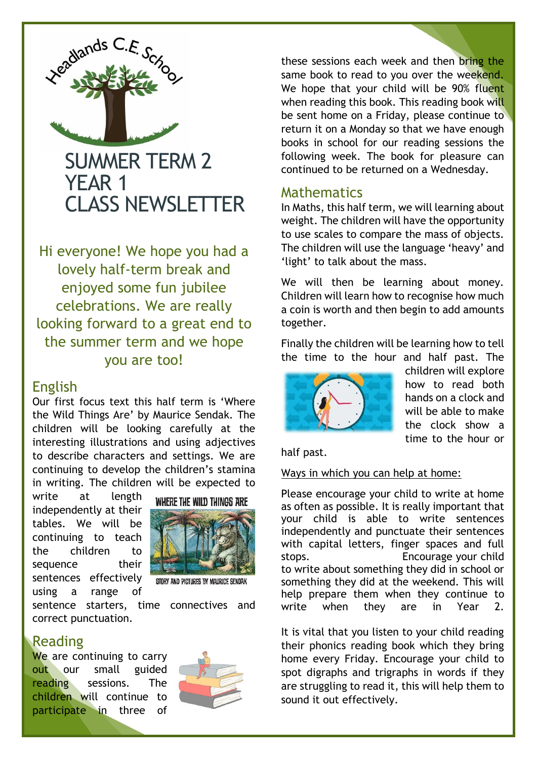

Hi everyone! We hope you had a lovely half-term break and enjoyed some fun jubilee celebrations. We are really looking forward to a great end to the summer term and we hope you are too!

### English

Our first focus text this half term is 'Where the Wild Things Are' by Maurice Sendak. The children will be looking carefully at the interesting illustrations and using adjectives to describe characters and settings. We are continuing to develop the children's stamina in writing. The children will be expected to

write at length independently at their tables. We will be continuing to teach the children to sequence their sentences effectively using a range of



STORY AND PICTURES BY MAURICE SENDAK

sentence starters, time connectives and correct punctuation.

### Reading

We are continuing to carry out our small guided reading sessions. The children will continue to participate in three of



these sessions each week and then bring the same book to read to you over the weekend. We hope that your child will be 90% fluent when reading this book. This reading book will be sent home on a Friday, please continue to return it on a Monday so that we have enough books in school for our reading sessions the following week. The book for pleasure can continued to be returned on a Wednesday.

### **Mathematics**

In Maths, this half term, we will learning about weight. The children will have the opportunity to use scales to compare the mass of objects. The children will use the language 'heavy' and 'light' to talk about the mass.

We will then be learning about money. Children will learn how to recognise how much a coin is worth and then begin to add amounts together.

Finally the children will be learning how to tell the time to the hour and half past. The



children will explore how to read both hands on a clock and will be able to make the clock show a time to the hour or

half past.

Ways in which you can help at home:

Please encourage your child to write at home as often as possible. It is really important that your child is able to write sentences independently and punctuate their sentences with capital letters, finger spaces and full stops. Encourage your child to write about something they did in school or something they did at the weekend. This will help prepare them when they continue to write when they are in Year 2.

It is vital that you listen to your child reading their phonics reading book which they bring home every Friday. Encourage your child to spot digraphs and trigraphs in words if they are struggling to read it, this will help them to sound it out effectively.